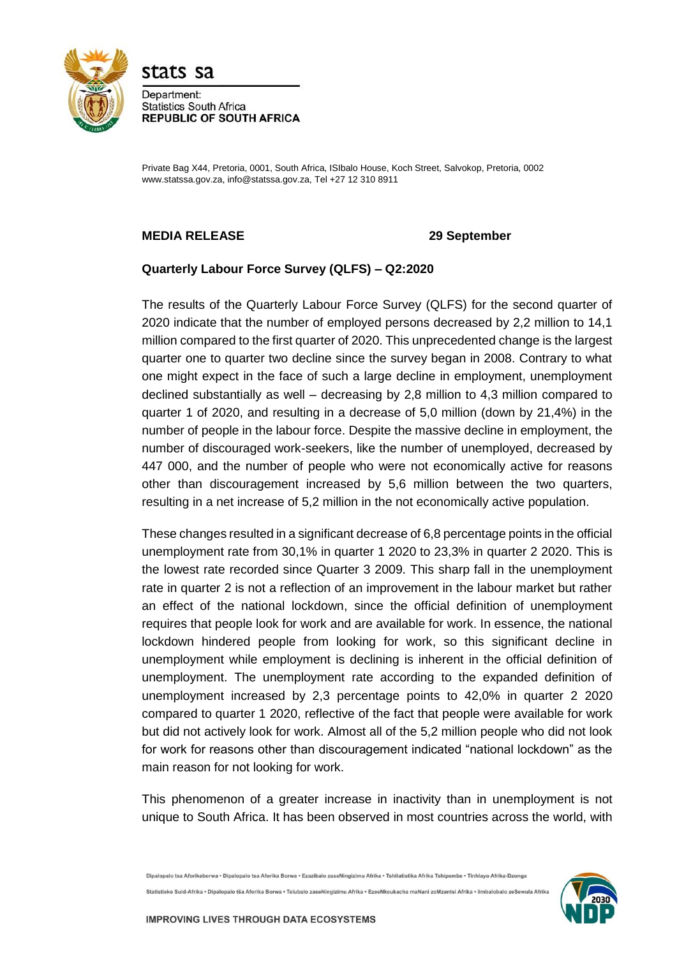

stats sa

Department: **Statistics South Africa REPUBLIC OF SOUTH AFRICA** 

Private Bag X44, Pretoria, 0001, South Africa, ISIbalo House, Koch Street, Salvokop, Pretoria, 0002 www.statssa.gov.za, info@statssa.gov.za, Tel +27 12 310 8911

# **MEDIA RELEASE 29 September**

# **Quarterly Labour Force Survey (QLFS) – Q2:2020**

The results of the Quarterly Labour Force Survey (QLFS) for the second quarter of 2020 indicate that the number of employed persons decreased by 2,2 million to 14,1 million compared to the first quarter of 2020. This unprecedented change is the largest quarter one to quarter two decline since the survey began in 2008. Contrary to what one might expect in the face of such a large decline in employment, unemployment declined substantially as well – decreasing by 2,8 million to 4,3 million compared to quarter 1 of 2020, and resulting in a decrease of 5,0 million (down by 21,4%) in the number of people in the labour force. Despite the massive decline in employment, the number of discouraged work-seekers, like the number of unemployed, decreased by 447 000, and the number of people who were not economically active for reasons other than discouragement increased by 5,6 million between the two quarters, resulting in a net increase of 5,2 million in the not economically active population.

These changes resulted in a significant decrease of 6,8 percentage points in the official unemployment rate from 30,1% in quarter 1 2020 to 23,3% in quarter 2 2020. This is the lowest rate recorded since Quarter 3 2009. This sharp fall in the unemployment rate in quarter 2 is not a reflection of an improvement in the labour market but rather an effect of the national lockdown, since the official definition of unemployment requires that people look for work and are available for work. In essence, the national lockdown hindered people from looking for work, so this significant decline in unemployment while employment is declining is inherent in the official definition of unemployment. The unemployment rate according to the expanded definition of unemployment increased by 2,3 percentage points to 42,0% in quarter 2 2020 compared to quarter 1 2020, reflective of the fact that people were available for work but did not actively look for work. Almost all of the 5,2 million people who did not look for work for reasons other than discouragement indicated "national lockdown" as the main reason for not looking for work.

This phenomenon of a greater increase in inactivity than in unemployment is not unique to South Africa. It has been observed in most countries across the world, with

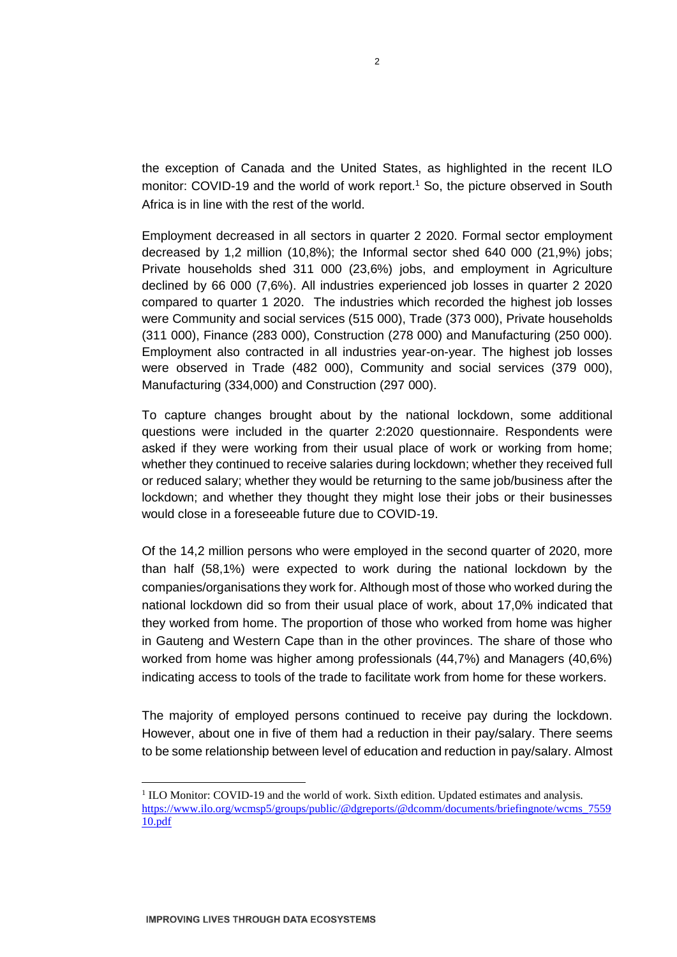the exception of Canada and the United States, as highlighted in the recent ILO monitor: COVID-19 and the world of work report.<sup>1</sup> So, the picture observed in South Africa is in line with the rest of the world.

Employment decreased in all sectors in quarter 2 2020. Formal sector employment decreased by 1,2 million (10,8%); the Informal sector shed 640 000 (21,9%) jobs; Private households shed 311 000 (23,6%) jobs, and employment in Agriculture declined by 66 000 (7,6%). All industries experienced job losses in quarter 2 2020 compared to quarter 1 2020. The industries which recorded the highest job losses were Community and social services (515 000), Trade (373 000), Private households (311 000), Finance (283 000), Construction (278 000) and Manufacturing (250 000). Employment also contracted in all industries year-on-year. The highest job losses were observed in Trade (482 000), Community and social services (379 000), Manufacturing (334,000) and Construction (297 000).

To capture changes brought about by the national lockdown, some additional questions were included in the quarter 2:2020 questionnaire. Respondents were asked if they were working from their usual place of work or working from home; whether they continued to receive salaries during lockdown; whether they received full or reduced salary; whether they would be returning to the same job/business after the lockdown; and whether they thought they might lose their jobs or their businesses would close in a foreseeable future due to COVID-19.

Of the 14,2 million persons who were employed in the second quarter of 2020, more than half (58,1%) were expected to work during the national lockdown by the companies/organisations they work for. Although most of those who worked during the national lockdown did so from their usual place of work, about 17,0% indicated that they worked from home. The proportion of those who worked from home was higher in Gauteng and Western Cape than in the other provinces. The share of those who worked from home was higher among professionals (44,7%) and Managers (40,6%) indicating access to tools of the trade to facilitate work from home for these workers.

The majority of employed persons continued to receive pay during the lockdown. However, about one in five of them had a reduction in their pay/salary. There seems to be some relationship between level of education and reduction in pay/salary. Almost

**.** 

<sup>&</sup>lt;sup>1</sup> ILO Monitor: COVID-19 and the world of work. Sixth edition. Updated estimates and analysis. [https://www.ilo.org/wcmsp5/groups/public/@dgreports/@dcomm/documents/briefingnote/wcms\\_7559](https://www.ilo.org/wcmsp5/groups/public/@dgreports/@dcomm/documents/briefingnote/wcms_755910.pdf) [10.pdf](https://www.ilo.org/wcmsp5/groups/public/@dgreports/@dcomm/documents/briefingnote/wcms_755910.pdf)